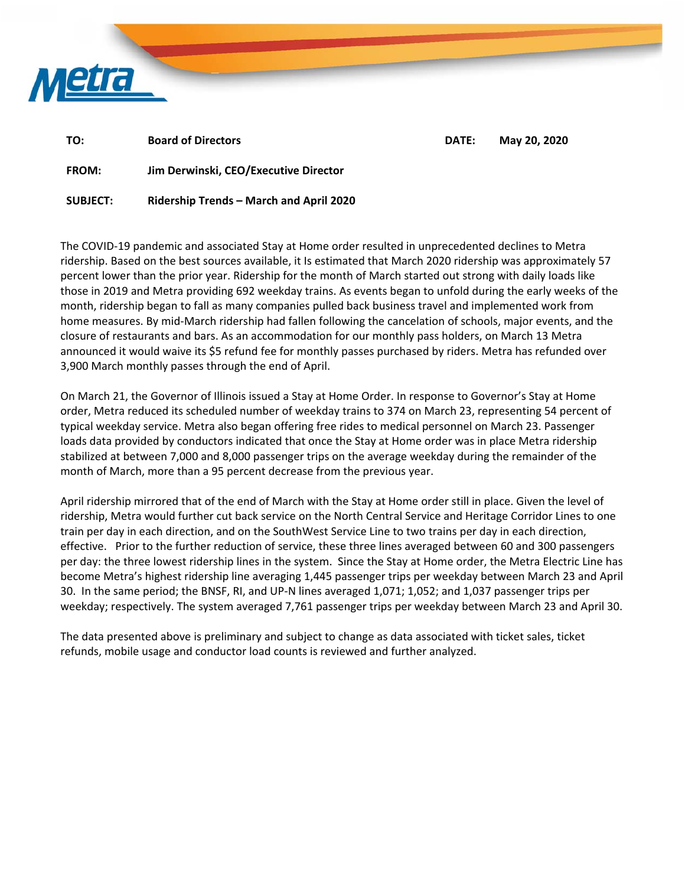

| TO:          | <b>Board of Directors</b>             | DATE: | May 20, 2020 |
|--------------|---------------------------------------|-------|--------------|
| <b>FROM:</b> | Jim Derwinski, CEO/Executive Director |       |              |

**SUBJECT: Ridership Trends – March and April 2020** 

The COVID‐19 pandemic and associated Stay at Home order resulted in unprecedented declines to Metra ridership. Based on the best sources available, it Is estimated that March 2020 ridership was approximately 57 percent lower than the prior year. Ridership for the month of March started out strong with daily loads like those in 2019 and Metra providing 692 weekday trains. As events began to unfold during the early weeks of the month, ridership began to fall as many companies pulled back business travel and implemented work from home measures. By mid‐March ridership had fallen following the cancelation of schools, major events, and the closure of restaurants and bars. As an accommodation for our monthly pass holders, on March 13 Metra announced it would waive its \$5 refund fee for monthly passes purchased by riders. Metra has refunded over 3,900 March monthly passes through the end of April.

On March 21, the Governor of Illinois issued a Stay at Home Order. In response to Governor's Stay at Home order, Metra reduced its scheduled number of weekday trains to 374 on March 23, representing 54 percent of typical weekday service. Metra also began offering free rides to medical personnel on March 23. Passenger loads data provided by conductors indicated that once the Stay at Home order was in place Metra ridership stabilized at between 7,000 and 8,000 passenger trips on the average weekday during the remainder of the month of March, more than a 95 percent decrease from the previous year.

April ridership mirrored that of the end of March with the Stay at Home order still in place. Given the level of ridership, Metra would further cut back service on the North Central Service and Heritage Corridor Lines to one train per day in each direction, and on the SouthWest Service Line to two trains per day in each direction, effective. Prior to the further reduction of service, these three lines averaged between 60 and 300 passengers per day: the three lowest ridership lines in the system. Since the Stay at Home order, the Metra Electric Line has become Metra's highest ridership line averaging 1,445 passenger trips per weekday between March 23 and April 30. In the same period; the BNSF, RI, and UP‐N lines averaged 1,071; 1,052; and 1,037 passenger trips per weekday; respectively. The system averaged 7,761 passenger trips per weekday between March 23 and April 30.

The data presented above is preliminary and subject to change as data associated with ticket sales, ticket refunds, mobile usage and conductor load counts is reviewed and further analyzed.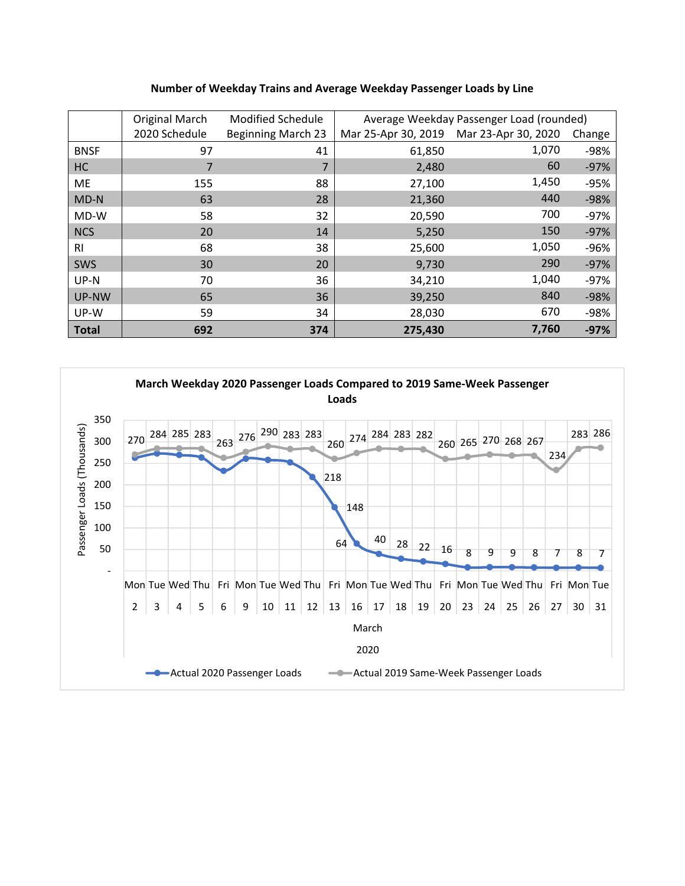## **Number of Weekday Trains and Average Weekday Passenger Loads by Line**

|              | Original March | <b>Modified Schedule</b>  | Average Weekday Passenger Load (rounded) |                                         |        |  |
|--------------|----------------|---------------------------|------------------------------------------|-----------------------------------------|--------|--|
|              | 2020 Schedule  | <b>Beginning March 23</b> |                                          | Mar 25-Apr 30, 2019 Mar 23-Apr 30, 2020 | Change |  |
| <b>BNSF</b>  | 97             | 41                        | 61,850                                   | 1,070                                   | -98%   |  |
| HC           | 7              | 7                         | 2,480                                    | 60                                      | $-97%$ |  |
| <b>ME</b>    | 155            | 88                        | 27,100                                   | 1,450                                   | $-95%$ |  |
| $MD-N$       | 63             | 28                        | 21,360                                   | 440                                     | $-98%$ |  |
| MD-W         | 58             | 32                        | 20,590                                   | 700                                     | $-97%$ |  |
| <b>NCS</b>   | 20             | 14                        | 5,250                                    | 150                                     | $-97%$ |  |
| <b>RI</b>    | 68             | 38                        | 25,600                                   | 1,050                                   | $-96%$ |  |
| <b>SWS</b>   | 30             | 20                        | 9,730                                    | 290                                     | $-97%$ |  |
| UP-N         | 70             | 36                        | 34,210                                   | 1,040                                   | $-97%$ |  |
| UP-NW        | 65             | 36                        | 39,250                                   | 840                                     | $-98%$ |  |
| UP-W         | 59             | 34                        | 28,030                                   | 670                                     | -98%   |  |
| <b>Total</b> | 692            | 374                       | 275,430                                  | 7,760                                   | $-97%$ |  |